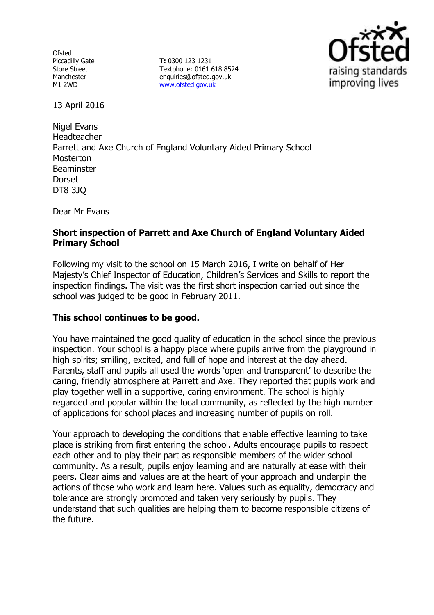**Ofsted** Piccadilly Gate Store Street Manchester M1 2WD

**T:** 0300 123 1231 Textphone: 0161 618 8524 enquiries@ofsted.gov.uk [www.ofsted.gov.uk](http://www.ofsted.gov.uk/)



13 April 2016

Nigel Evans Headteacher Parrett and Axe Church of England Voluntary Aided Primary School Mosterton **Beaminster Dorset** DT8 3JQ

Dear Mr Evans

# **Short inspection of Parrett and Axe Church of England Voluntary Aided Primary School**

Following my visit to the school on 15 March 2016, I write on behalf of Her Majesty's Chief Inspector of Education, Children's Services and Skills to report the inspection findings. The visit was the first short inspection carried out since the school was judged to be good in February 2011.

### **This school continues to be good.**

You have maintained the good quality of education in the school since the previous inspection. Your school is a happy place where pupils arrive from the playground in high spirits; smiling, excited, and full of hope and interest at the day ahead. Parents, staff and pupils all used the words 'open and transparent' to describe the caring, friendly atmosphere at Parrett and Axe. They reported that pupils work and play together well in a supportive, caring environment. The school is highly regarded and popular within the local community, as reflected by the high number of applications for school places and increasing number of pupils on roll.

Your approach to developing the conditions that enable effective learning to take place is striking from first entering the school. Adults encourage pupils to respect each other and to play their part as responsible members of the wider school community. As a result, pupils enjoy learning and are naturally at ease with their peers. Clear aims and values are at the heart of your approach and underpin the actions of those who work and learn here. Values such as equality, democracy and tolerance are strongly promoted and taken very seriously by pupils. They understand that such qualities are helping them to become responsible citizens of the future.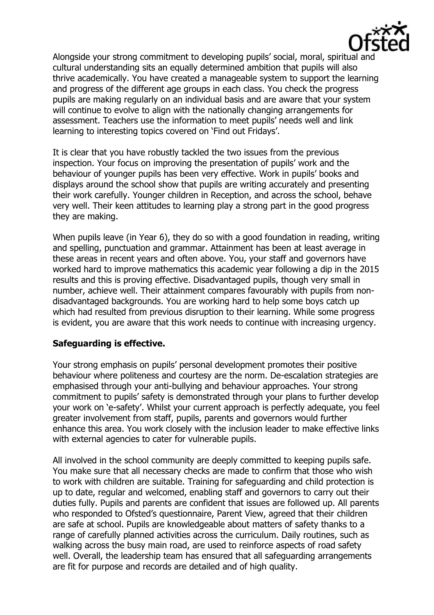

Alongside your strong commitment to developing pupils' social, moral, spiritual and cultural understanding sits an equally determined ambition that pupils will also thrive academically. You have created a manageable system to support the learning and progress of the different age groups in each class. You check the progress pupils are making regularly on an individual basis and are aware that your system will continue to evolve to align with the nationally changing arrangements for assessment. Teachers use the information to meet pupils' needs well and link learning to interesting topics covered on 'Find out Fridays'.

It is clear that you have robustly tackled the two issues from the previous inspection. Your focus on improving the presentation of pupils' work and the behaviour of younger pupils has been very effective. Work in pupils' books and displays around the school show that pupils are writing accurately and presenting their work carefully. Younger children in Reception, and across the school, behave very well. Their keen attitudes to learning play a strong part in the good progress they are making.

When pupils leave (in Year 6), they do so with a good foundation in reading, writing and spelling, punctuation and grammar. Attainment has been at least average in these areas in recent years and often above. You, your staff and governors have worked hard to improve mathematics this academic year following a dip in the 2015 results and this is proving effective. Disadvantaged pupils, though very small in number, achieve well. Their attainment compares favourably with pupils from nondisadvantaged backgrounds. You are working hard to help some boys catch up which had resulted from previous disruption to their learning. While some progress is evident, you are aware that this work needs to continue with increasing urgency.

### **Safeguarding is effective.**

Your strong emphasis on pupils' personal development promotes their positive behaviour where politeness and courtesy are the norm. De-escalation strategies are emphasised through your anti-bullying and behaviour approaches. Your strong commitment to pupils' safety is demonstrated through your plans to further develop your work on 'e-safety'. Whilst your current approach is perfectly adequate, you feel greater involvement from staff, pupils, parents and governors would further enhance this area. You work closely with the inclusion leader to make effective links with external agencies to cater for vulnerable pupils.

All involved in the school community are deeply committed to keeping pupils safe. You make sure that all necessary checks are made to confirm that those who wish to work with children are suitable. Training for safeguarding and child protection is up to date, regular and welcomed, enabling staff and governors to carry out their duties fully. Pupils and parents are confident that issues are followed up. All parents who responded to Ofsted's questionnaire, Parent View, agreed that their children are safe at school. Pupils are knowledgeable about matters of safety thanks to a range of carefully planned activities across the curriculum. Daily routines, such as walking across the busy main road, are used to reinforce aspects of road safety well. Overall, the leadership team has ensured that all safeguarding arrangements are fit for purpose and records are detailed and of high quality.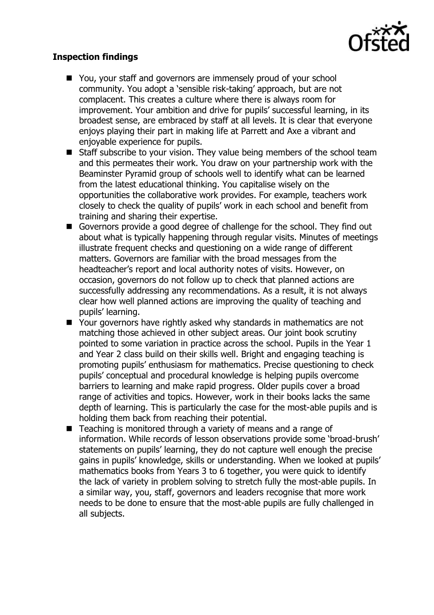

# **Inspection findings**

- You, your staff and governors are immensely proud of your school community. You adopt a 'sensible risk-taking' approach, but are not complacent. This creates a culture where there is always room for improvement. Your ambition and drive for pupils' successful learning, in its broadest sense, are embraced by staff at all levels. It is clear that everyone enjoys playing their part in making life at Parrett and Axe a vibrant and enjoyable experience for pupils.
- Staff subscribe to your vision. They value being members of the school team and this permeates their work. You draw on your partnership work with the Beaminster Pyramid group of schools well to identify what can be learned from the latest educational thinking. You capitalise wisely on the opportunities the collaborative work provides. For example, teachers work closely to check the quality of pupils' work in each school and benefit from training and sharing their expertise.
- Governors provide a good degree of challenge for the school. They find out about what is typically happening through regular visits. Minutes of meetings illustrate frequent checks and questioning on a wide range of different matters. Governors are familiar with the broad messages from the headteacher's report and local authority notes of visits. However, on occasion, governors do not follow up to check that planned actions are successfully addressing any recommendations. As a result, it is not always clear how well planned actions are improving the quality of teaching and pupils' learning.
- Your governors have rightly asked why standards in mathematics are not matching those achieved in other subject areas. Our joint book scrutiny pointed to some variation in practice across the school. Pupils in the Year 1 and Year 2 class build on their skills well. Bright and engaging teaching is promoting pupils' enthusiasm for mathematics. Precise questioning to check pupils' conceptual and procedural knowledge is helping pupils overcome barriers to learning and make rapid progress. Older pupils cover a broad range of activities and topics. However, work in their books lacks the same depth of learning. This is particularly the case for the most-able pupils and is holding them back from reaching their potential.
- Teaching is monitored through a variety of means and a range of information. While records of lesson observations provide some 'broad-brush' statements on pupils' learning, they do not capture well enough the precise gains in pupils' knowledge, skills or understanding. When we looked at pupils' mathematics books from Years 3 to 6 together, you were quick to identify the lack of variety in problem solving to stretch fully the most-able pupils. In a similar way, you, staff, governors and leaders recognise that more work needs to be done to ensure that the most-able pupils are fully challenged in all subjects.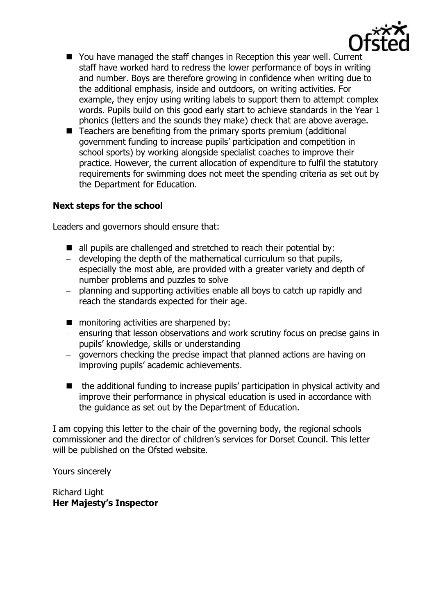

- You have managed the staff changes in Reception this year well. Current staff have worked hard to redress the lower performance of boys in writing and number. Boys are therefore growing in confidence when writing due to the additional emphasis, inside and outdoors, on writing activities. For example, they enjoy using writing labels to support them to attempt complex words. Pupils build on this good early start to achieve standards in the Year 1 phonics (letters and the sounds they make) check that are above average.
- Teachers are benefiting from the primary sports premium (additional government funding to increase pupils' participation and competition in school sports) by working alongside specialist coaches to improve their practice. However, the current allocation of expenditure to fulfil the statutory requirements for swimming does not meet the spending criteria as set out by the Department for Education.

# **Next steps for the school**

Leaders and governors should ensure that:

- all pupils are challenged and stretched to reach their potential by:
- developing the depth of the mathematical curriculum so that pupils, especially the most able, are provided with a greater variety and depth of number problems and puzzles to solve
- planning and supporting activities enable all boys to catch up rapidly and reach the standards expected for their age.
- **monitoring activities are sharpened by:**
- ensuring that lesson observations and work scrutiny focus on precise gains in pupils' knowledge, skills or understanding
- governors checking the precise impact that planned actions are having on improving pupils' academic achievements.
- the additional funding to increase pupils' participation in physical activity and improve their performance in physical education is used in accordance with the guidance as set out by the Department of Education.

I am copying this letter to the chair of the governing body, the regional schools commissioner and the director of children's services for Dorset Council. This letter will be published on the Ofsted website.

Yours sincerely

Richard Light **Her Majesty's Inspector**